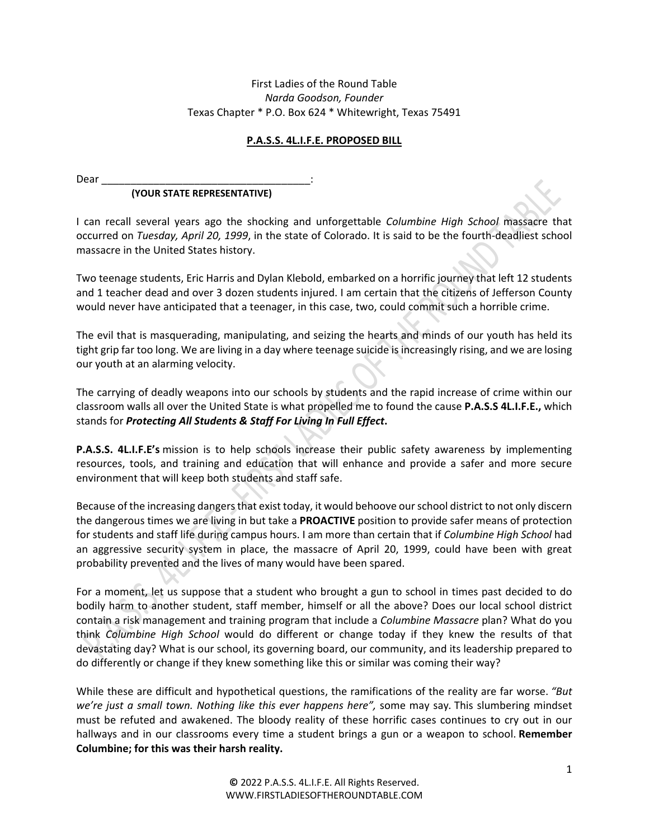## First Ladies of the Round Table *Narda Goodson, Founder* Texas Chapter \* P.O. Box 624 \* Whitewright, Texas 75491

## **P.A.S.S. 4L.I.F.E. PROPOSED BILL**

Dear\_

## **(YOUR STATE REPRESENTATIVE)**

I can recall several years ago the shocking and unforgettable *Columbine High School* massacre that occurred on *Tuesday, April 20, 1999*, in the state of Colorado. It is said to be the fourth-deadliest school massacre in the United States history.

Two teenage students, Eric Harris and Dylan Klebold, embarked on a horrific journey that left 12 students and 1 teacher dead and over 3 dozen students injured. I am certain that the citizens of Jefferson County would never have anticipated that a teenager, in this case, two, could commit such a horrible crime.

The evil that is masquerading, manipulating, and seizing the hearts and minds of our youth has held its tight grip far too long. We are living in a day where teenage suicide is increasingly rising, and we are losing our youth at an alarming velocity.

The carrying of deadly weapons into our schools by students and the rapid increase of crime within our classroom walls all over the United State is what propelled me to found the cause **P.A.S.S 4L.I.F.E.,** which stands for *Protecting All Students & Staff For Living In Full Effect***.** 

**P.A.S.S. 4L.I.F.E's** mission is to help schools increase their public safety awareness by implementing resources, tools, and training and education that will enhance and provide a safer and more secure environment that will keep both students and staff safe.

Because of the increasing dangers that exist today, it would behoove our school district to not only discern the dangerous times we are living in but take a **PROACTIVE** position to provide safer means of protection for students and staff life during campus hours. I am more than certain that if *Columbine High School* had an aggressive security system in place, the massacre of April 20, 1999, could have been with great probability prevented and the lives of many would have been spared.

For a moment, let us suppose that a student who brought a gun to school in times past decided to do bodily harm to another student, staff member, himself or all the above? Does our local school district contain a risk management and training program that include a *Columbine Massacre* plan? What do you think *Columbine High School* would do different or change today if they knew the results of that devastating day? What is our school, its governing board, our community, and its leadership prepared to do differently or change if they knew something like this or similar was coming their way?

While these are difficult and hypothetical questions, the ramifications of the reality are far worse. *"But we're just a small town. Nothing like this ever happens here",* some may say*.* This slumbering mindset must be refuted and awakened. The bloody reality of these horrific cases continues to cry out in our hallways and in our classrooms every time a student brings a gun or a weapon to school. **Remember Columbine; for this was their harsh reality.**